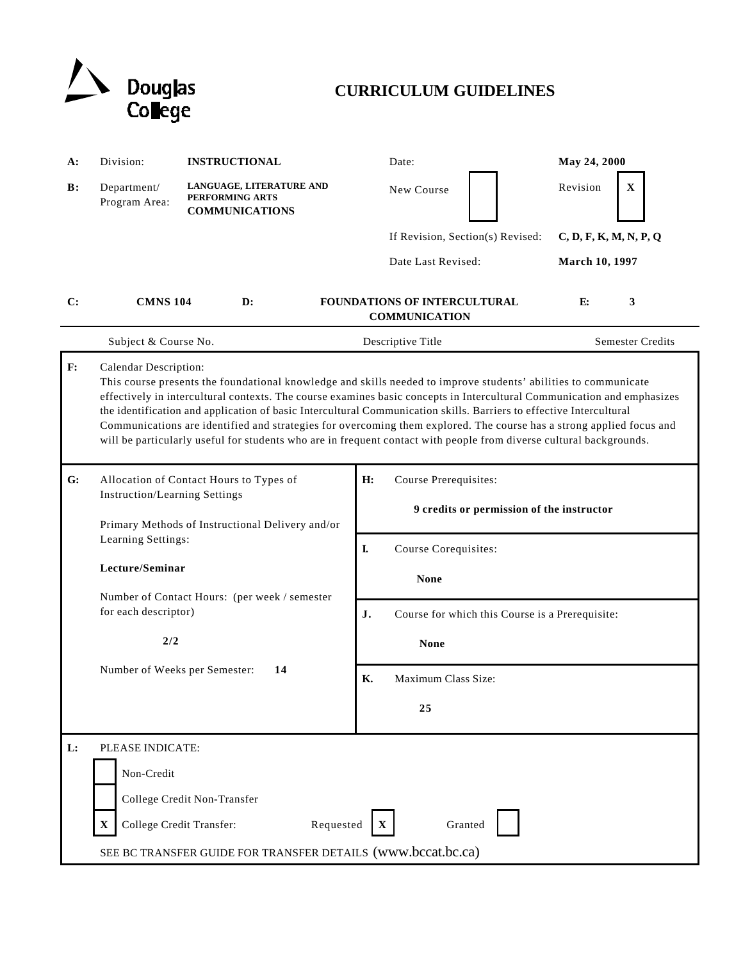

# **CURRICULUM GUIDELINES**

| A: | Division:                                                                                                                                                                                                                                                                                                                                                                                                                                                                                                                                                                                                                                 | <b>INSTRUCTIONAL</b>                                                 | Date:                                                                    | May 24, 2000           |
|----|-------------------------------------------------------------------------------------------------------------------------------------------------------------------------------------------------------------------------------------------------------------------------------------------------------------------------------------------------------------------------------------------------------------------------------------------------------------------------------------------------------------------------------------------------------------------------------------------------------------------------------------------|----------------------------------------------------------------------|--------------------------------------------------------------------------|------------------------|
| B: | Department/<br>Program Area:                                                                                                                                                                                                                                                                                                                                                                                                                                                                                                                                                                                                              | LANGUAGE, LITERATURE AND<br>PERFORMING ARTS<br><b>COMMUNICATIONS</b> | New Course                                                               | Revision<br>X          |
|    |                                                                                                                                                                                                                                                                                                                                                                                                                                                                                                                                                                                                                                           |                                                                      | If Revision, Section(s) Revised:                                         | C, D, F, K, M, N, P, Q |
|    |                                                                                                                                                                                                                                                                                                                                                                                                                                                                                                                                                                                                                                           |                                                                      | Date Last Revised:                                                       | March 10, 1997         |
| C: | <b>CMNS 104</b>                                                                                                                                                                                                                                                                                                                                                                                                                                                                                                                                                                                                                           | $\mathbf{D}$ :                                                       | <b>FOUNDATIONS OF INTERCULTURAL</b><br><b>COMMUNICATION</b>              | E:<br>3                |
|    | Subject & Course No.                                                                                                                                                                                                                                                                                                                                                                                                                                                                                                                                                                                                                      |                                                                      | Descriptive Title                                                        | Semester Credits       |
| F: | Calendar Description:<br>This course presents the foundational knowledge and skills needed to improve students' abilities to communicate<br>effectively in intercultural contexts. The course examines basic concepts in Intercultural Communication and emphasizes<br>the identification and application of basic Intercultural Communication skills. Barriers to effective Intercultural<br>Communications are identified and strategies for overcoming them explored. The course has a strong applied focus and<br>will be particularly useful for students who are in frequent contact with people from diverse cultural backgrounds. |                                                                      |                                                                          |                        |
| G: | Allocation of Contact Hours to Types of<br><b>Instruction/Learning Settings</b><br>Primary Methods of Instructional Delivery and/or<br>Learning Settings:<br>Lecture/Seminar<br>Number of Contact Hours: (per week / semester<br>for each descriptor)<br>2/2                                                                                                                                                                                                                                                                                                                                                                              |                                                                      | Course Prerequisites:<br>H:<br>9 credits or permission of the instructor |                        |
|    |                                                                                                                                                                                                                                                                                                                                                                                                                                                                                                                                                                                                                                           |                                                                      | I.<br>Course Corequisites:<br><b>None</b>                                |                        |
|    |                                                                                                                                                                                                                                                                                                                                                                                                                                                                                                                                                                                                                                           |                                                                      | J.<br>Course for which this Course is a Prerequisite:                    |                        |
|    |                                                                                                                                                                                                                                                                                                                                                                                                                                                                                                                                                                                                                                           |                                                                      | <b>None</b>                                                              |                        |
|    | Number of Weeks per Semester:                                                                                                                                                                                                                                                                                                                                                                                                                                                                                                                                                                                                             | 14                                                                   | Maximum Class Size:<br><b>K.</b><br>25                                   |                        |
| L: | PLEASE INDICATE:<br>Non-Credit<br>College Credit Non-Transfer<br>College Credit Transfer:<br>Requested<br>Granted<br>$\mathbf X$<br>SEE BC TRANSFER GUIDE FOR TRANSFER DETAILS (www.bccat.bc.ca)                                                                                                                                                                                                                                                                                                                                                                                                                                          |                                                                      |                                                                          |                        |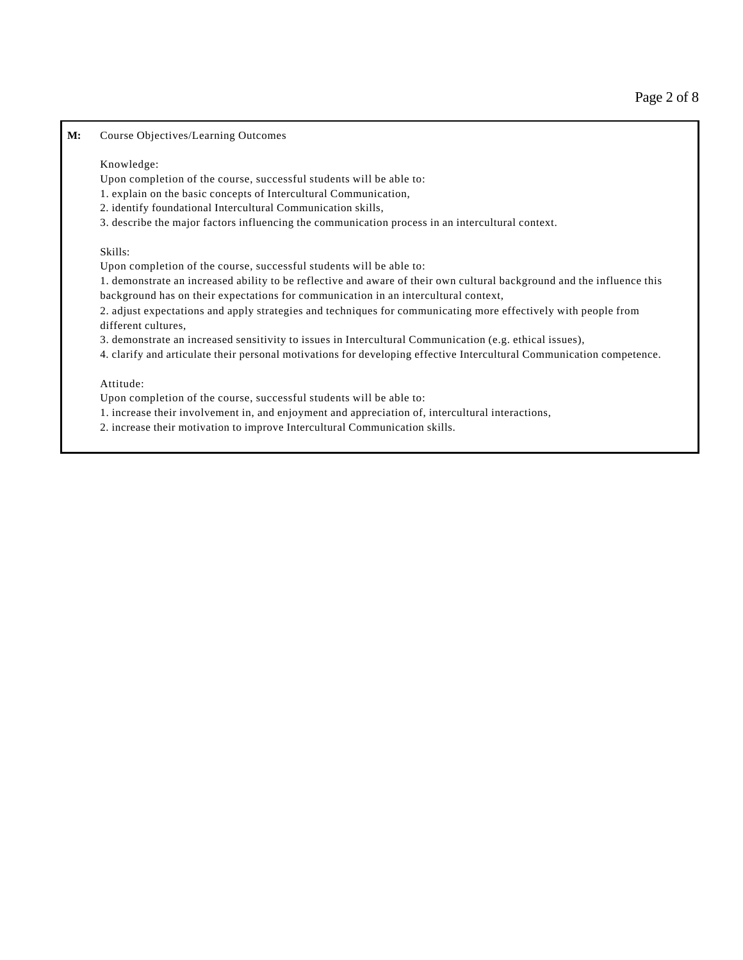**M:** Course Objectives/Learning Outcomes

#### Knowledge:

Upon completion of the course, successful students will be able to:

1. explain on the basic concepts of Intercultural Communication,

- 2. identify foundational Intercultural Communication skills,
- 3. describe the major factors influencing the communication process in an intercultural context.

#### Skills:

Upon completion of the course, successful students will be able to:

1. demonstrate an increased ability to be reflective and aware of their own cultural background and the influence this background has on their expectations for communication in an intercultural context,

2. adjust expectations and apply strategies and techniques for communicating more effectively with people from different cultures,

3. demonstrate an increased sensitivity to issues in Intercultural Communication (e.g. ethical issues),

4. clarify and articulate their personal motivations for developing effective Intercultural Communication competence.

### Attitude:

Upon completion of the course, successful students will be able to:

1. increase their involvement in, and enjoyment and appreciation of, intercultural interactions,

2. increase their motivation to improve Intercultural Communication skills.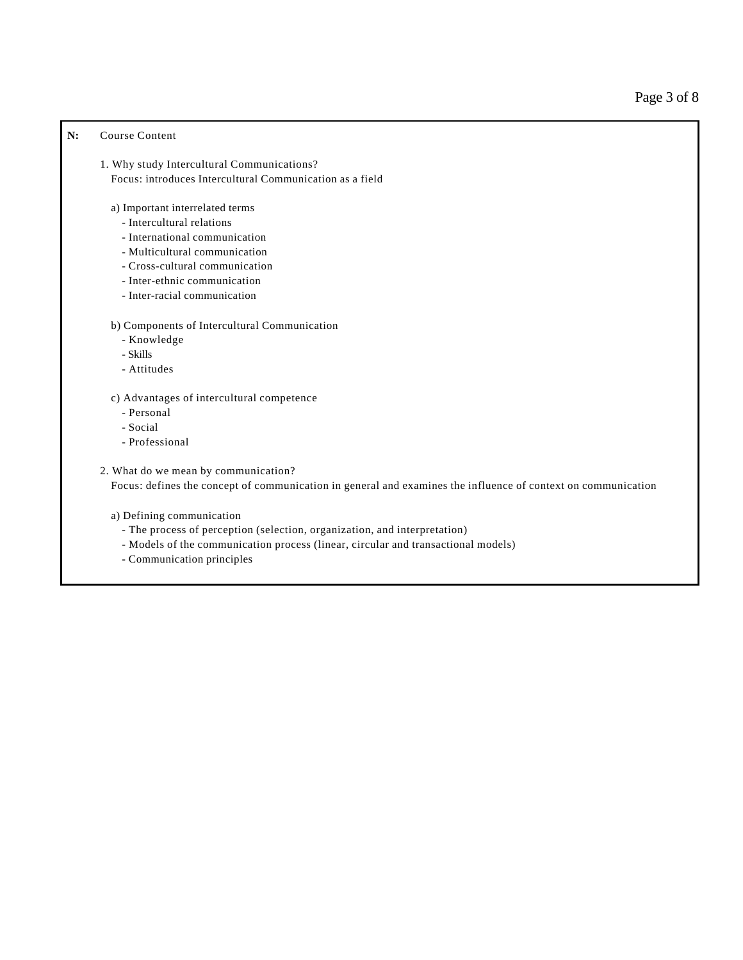## **N:** Course Content

- 1. Why study Intercultural Communications? Focus: introduces Intercultural Communication as a field
	- a) Important interrelated terms
		- Intercultural relations
		- International communication
		- Multicultural communication
		- Cross-cultural communication
		- Inter-ethnic communication
		- Inter-racial communication

#### b) Components of Intercultural Communication

- Knowledge
- Skills
- Attitudes
- c) Advantages of intercultural competence
	- Personal
	- Social
	- Professional

### 2. What do we mean by communication?

Focus: defines the concept of communication in general and examines the influence of context on communication

#### a) Defining communication

- The process of perception (selection, organization, and interpretation)
- Models of the communication process (linear, circular and transactional models)
- Communication principles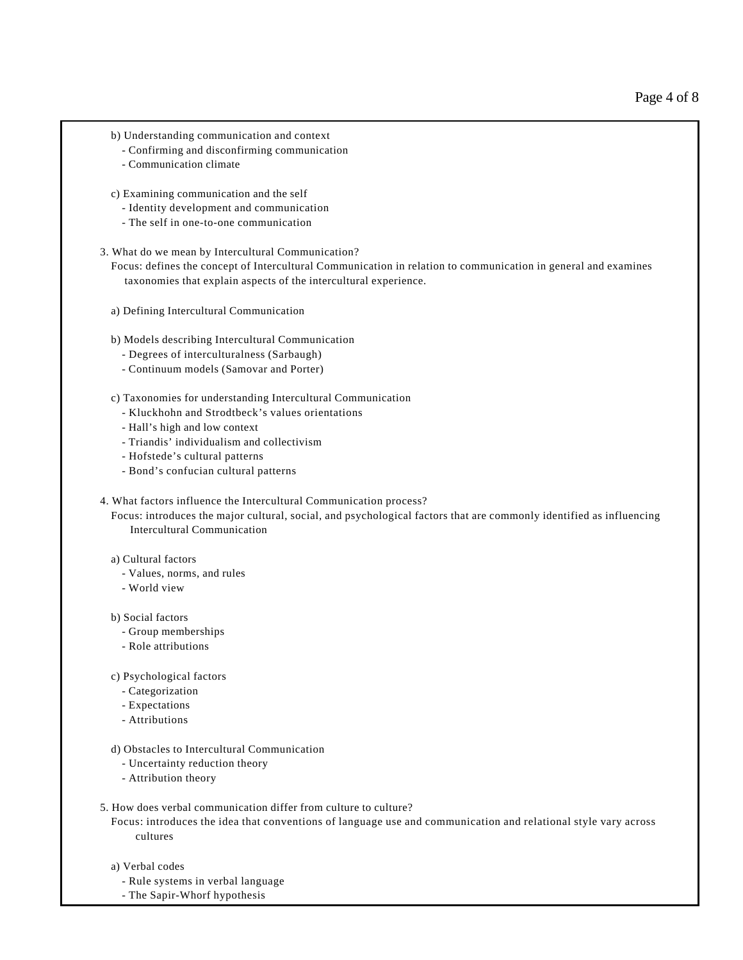- b) Understanding communication and context
	- Confirming and disconfirming communication
	- Communication climate
- c) Examining communication and the self
	- Identity development and communication
	- The self in one-to-one communication
- 3. What do we mean by Intercultural Communication?

 Focus: defines the concept of Intercultural Communication in relation to communication in general and examines taxonomies that explain aspects of the intercultural experience.

- a) Defining Intercultural Communication
- b) Models describing Intercultural Communication
	- Degrees of interculturalness (Sarbaugh)
	- Continuum models (Samovar and Porter)
- c) Taxonomies for understanding Intercultural Communication
	- Kluckhohn and Strodtbeck's values orientations
	- Hall's high and low context
	- Triandis' individualism and collectivism
	- Hofstede's cultural patterns
	- Bond's confucian cultural patterns
- 4. What factors influence the Intercultural Communication process?
	- Focus: introduces the major cultural, social, and psychological factors that are commonly identified as influencing Intercultural Communication

### a) Cultural factors

- Values, norms, and rules
- World view
- b) Social factors
	- Group memberships
	- Role attributions
- c) Psychological factors
	- Categorization
	- Expectations
	- Attributions
- d) Obstacles to Intercultural Communication
	- Uncertainty reduction theory
	- Attribution theory

#### 5. How does verbal communication differ from culture to culture?

 Focus: introduces the idea that conventions of language use and communication and relational style vary across cultures

- a) Verbal codes
	- Rule systems in verbal language
	- The Sapir-Whorf hypothesis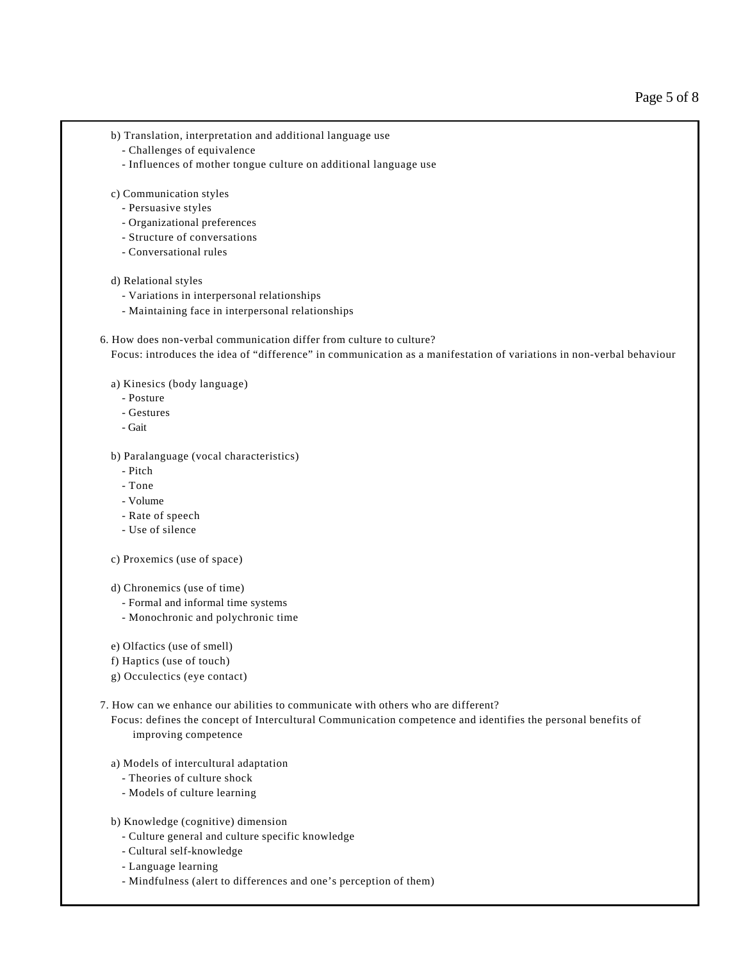- b) Translation, interpretation and additional language use
	- Challenges of equivalence
	- Influences of mother tongue culture on additional language use
- c) Communication styles
	- Persuasive styles
	- Organizational preferences
	- Structure of conversations
	- Conversational rules

## d) Relational styles

- Variations in interpersonal relationships
- Maintaining face in interpersonal relationships
- 6. How does non-verbal communication differ from culture to culture? Focus: introduces the idea of "difference" in communication as a manifestation of variations in non-verbal behaviour
	- a) Kinesics (body language)
		- Posture
		- Gestures
		- Gait
	- b) Paralanguage (vocal characteristics)
		- Pitch
		- Tone
		- Volume
		- Rate of speech
		- Use of silence
	- c) Proxemics (use of space)
	- d) Chronemics (use of time)
		- Formal and informal time systems
		- Monochronic and polychronic time
	- e) Olfactics (use of smell)
	- f) Haptics (use of touch)
	- g) Occulectics (eye contact)
- 7. How can we enhance our abilities to communicate with others who are different?
	- Focus: defines the concept of Intercultural Communication competence and identifies the personal benefits of improving competence
	- a) Models of intercultural adaptation
		- Theories of culture shock
		- Models of culture learning
	- b) Knowledge (cognitive) dimension
		- Culture general and culture specific knowledge
		- Cultural self-knowledge
		- Language learning
		- Mindfulness (alert to differences and one's perception of them)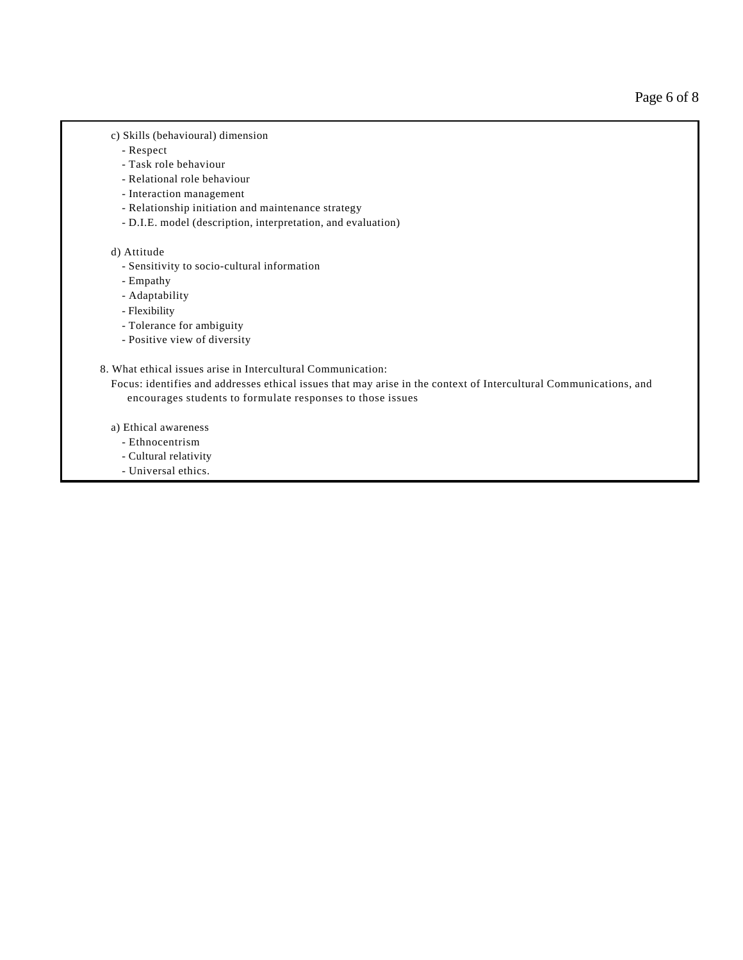Page 6 of 8

- c) Skills (behavioural) dimension
	- Respect
	- Task role behaviour
	- Relational role behaviour
	- Interaction management
	- Relationship initiation and maintenance strategy
	- D.I.E. model (description, interpretation, and evaluation)

### d) Attitude

- Sensitivity to socio-cultural information
- Empathy
- Adaptability
- Flexibility
- Tolerance for ambiguity
- Positive view of diversity

# 8. What ethical issues arise in Intercultural Communication:

 Focus: identifies and addresses ethical issues that may arise in the context of Intercultural Communications, and encourages students to formulate responses to those issues

- a) Ethical awareness
	- Ethnocentrism
	- Cultural relativity
	- Universal ethics.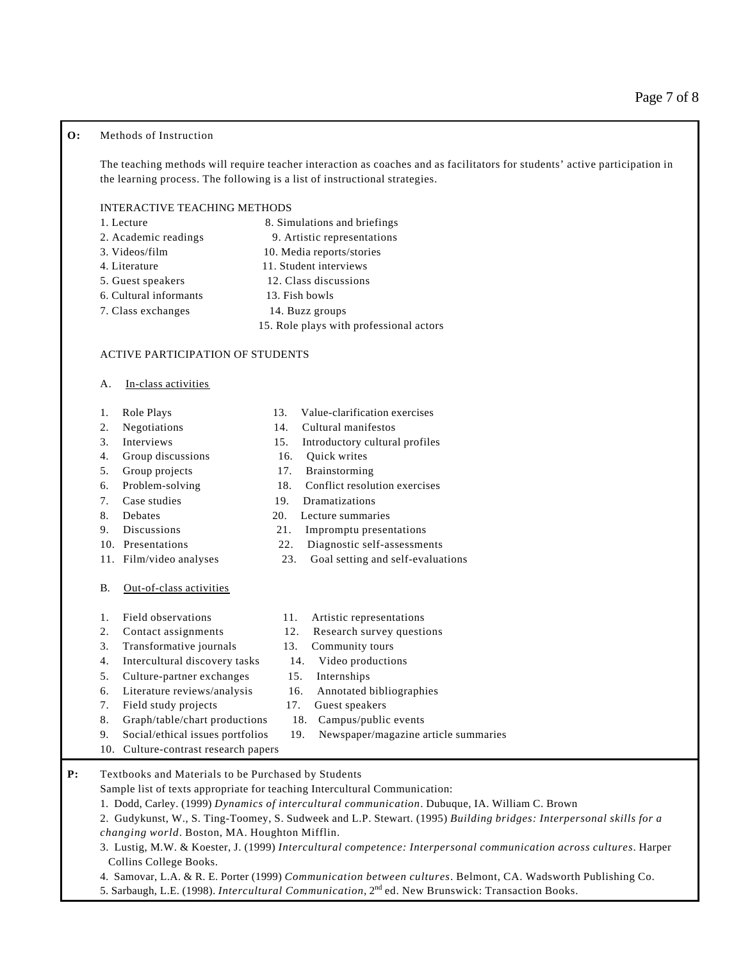## **O:** Methods of Instruction

The teaching methods will require teacher interaction as coaches and as facilitators for students' active participation in the learning process. The following is a list of instructional strategies.

### INTERACTIVE TEACHING METHODS

| 1. Lecture             | 8. Simulations and briefings            |  |
|------------------------|-----------------------------------------|--|
| 2. Academic readings   | 9. Artistic representations             |  |
| 3. Videos/film         | 10. Media reports/stories               |  |
| 4. Literature          | 11. Student interviews                  |  |
| 5. Guest speakers      | 12. Class discussions                   |  |
| 6. Cultural informants | 13. Fish bowls                          |  |
| 7. Class exchanges     | 14. Buzz groups                         |  |
|                        | 15. Role plays with professional actors |  |

#### ACTIVE PARTICIPATION OF STUDENTS

- A. In-class activities
- 
- 
- 
- 4. Group discussions 16. Quick writes
- 5. Group projects 17. Brainstorming
- 
- 
- 
- 
- 
- 
- B. Out-of-class activities
- 
- 
- 3. Transformative journals 13. Community tours
- 4. Intercultural discovery tasks 14. Video productions
- 5. Culture-partner exchanges 15. Internships
- 6. Literature reviews/analysis 16. Annotated bibliographies
- 7. Field study projects 17. Guest speakers
- 8. Graph/table/chart productions 18. Campus/public events
- 9. Social/ethical issues portfolios 19. Newspaper/magazine article summaries
- 10. Culture-contrast research papers
- **P:** Textbooks and Materials to be Purchased by Students
	- Sample list of texts appropriate for teaching Intercultural Communication:
	- 1. Dodd, Carley. (1999) *Dynamics of intercultural communication*. Dubuque, IA. William C. Brown
	- 2. Gudykunst, W., S. Ting-Toomey, S. Sudweek and L.P. Stewart. (1995) *Building bridges: Interpersonal skills for a changing world*. Boston, MA. Houghton Mifflin.
	- 3. Lustig, M.W. & Koester, J. (1999) *Intercultural competence: Interpersonal communication across cultures*. Harper Collins College Books.
	- 4. Samovar, L.A. & R. E. Porter (1999) *Communication between cultures*. Belmont, CA. Wadsworth Publishing Co.
	- 5. Sarbaugh, L.E. (1998). *Intercultural Communication*, 2nd ed. New Brunswick: Transaction Books.
- 1. Role Plays 13. Value-clarification exercises
- 2. Negotiations 14. Cultural manifestos
- 3. Interviews 15. Introductory cultural profiles
	-
	-
- 6. Problem-solving 18. Conflict resolution exercises
- 7. Case studies 19. Dramatizations
- 8. Debates 20. Lecture summaries
- 9. Discussions 21. Impromptu presentations
- 10. Presentations 22. Diagnostic self-assessments
- 11. Film/video analyses 23. Goal setting and self-evaluations
- 1. Field observations 11. Artistic representations
- 2. Contact assignments 12. Research survey questions
	-
	-
	-
	-
	-
	-
	-
- 
- -
	-